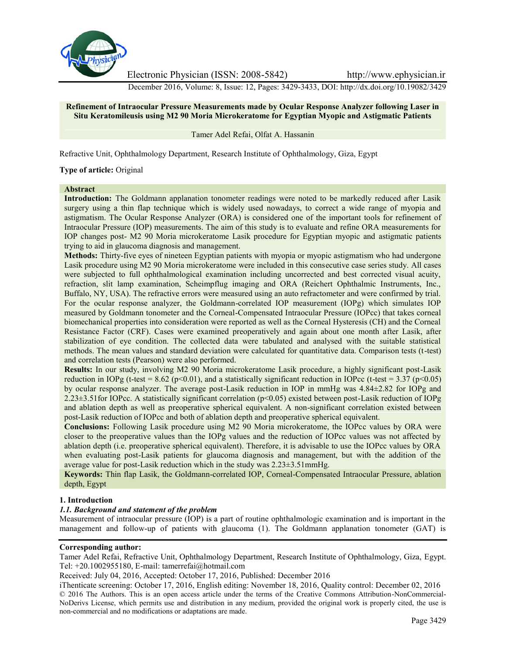

Electronic Physician (ISSN: 2008-5842) http://www.ephysician.ir

December 2016, Volume: 8, Issue: 12, Pages: 3429-3433, DOI: http://dx.doi.org/10.19082/3429

## **Refinement of Intraocular Pressure Measurements made by Ocular Response Analyzer following Laser in Situ Keratomileusis using M2 90 Moria Microkeratome for Egyptian Myopic and Astigmatic Patients**

Tamer Adel Refai, Olfat A. Hassanin

Refractive Unit, Ophthalmology Department, Research Institute of Ophthalmology, Giza, Egypt

## **Type of article:** Original

### **Abstract**

**Introduction:** The Goldmann applanation tonometer readings were noted to be markedly reduced after Lasik surgery using a thin flap technique which is widely used nowadays, to correct a wide range of myopia and astigmatism. The Ocular Response Analyzer (ORA) is considered one of the important tools for refinement of Intraocular Pressure (IOP) measurements. The aim of this study is to evaluate and refine ORA measurements for IOP changes post- M2 90 Moria microkeratome Lasik procedure for Egyptian myopic and astigmatic patients trying to aid in glaucoma diagnosis and management.

**Methods:** Thirty-five eyes of nineteen Egyptian patients with myopia or myopic astigmatism who had undergone Lasik procedure using M2 90 Moria microkeratome were included in this consecutive case series study. All cases were subjected to full ophthalmological examination including uncorrected and best corrected visual acuity, refraction, slit lamp examination, Scheimpflug imaging and ORA (Reichert Ophthalmic Instruments, Inc., Buffalo, NY, USA). The refractive errors were measured using an auto refractometer and were confirmed by trial. For the ocular response analyzer, the Goldmann-correlated IOP measurement (IOPg) which simulates IOP measured by Goldmann tonometer and the Corneal-Compensated Intraocular Pressure (IOPcc) that takes corneal biomechanical properties into consideration were reported as well as the Corneal Hysteresis (CH) and the Corneal Resistance Factor (CRF). Cases were examined preoperatively and again about one month after Lasik, after stabilization of eye condition. The collected data were tabulated and analysed with the suitable statistical methods. The mean values and standard deviation were calculated for quantitative data. Comparison tests (t-test) and correlation tests (Pearson) were also performed.

**Results:** In our study, involving M2 90 Moria microkeratome Lasik procedure, a highly significant post-Lasik reduction in IOPg (t-test =  $8.62$  (p<0.01), and a statistically significant reduction in IOPcc (t-test =  $3.37$  (p<0.05) by ocular response analyzer. The average post-Lasik reduction in IOP in mmHg was 4.84±2.82 for IOPg and 2.23±3.51for IOPcc. A statistically significant correlation (p<0.05) existed between post-Lasik reduction of IOPg and ablation depth as well as preoperative spherical equivalent. A non-significant correlation existed between post-Lasik reduction of IOPcc and both of ablation depth and preoperative spherical equivalent.

**Conclusions:** Following Lasik procedure using M2 90 Moria microkeratome, the IOPcc values by ORA were closer to the preoperative values than the IOPg values and the reduction of IOPcc values was not affected by ablation depth (i.e. preoperative spherical equivalent). Therefore, it is advisable to use the IOPcc values by ORA when evaluating post-Lasik patients for glaucoma diagnosis and management, but with the addition of the average value for post-Lasik reduction which in the study was 2.23±3.51mmHg.

**Keywords:** Thin flap Lasik, the Goldmann-correlated IOP, Corneal-Compensated Intraocular Pressure, ablation depth, Egypt

### **1. Introduction**

### *1.1. Background and statement of the problem*

Measurement of intraocular pressure (IOP) is a part of routine ophthalmologic examination and is important in the management and follow-up of patients with glaucoma (1). The Goldmann applanation tonometer (GAT) is

### **Corresponding author:**

Tamer Adel Refai, Refractive Unit, Ophthalmology Department, Research Institute of Ophthalmology, Giza, Egypt. Tel: +20.1002955180, E-mail: tamerrefai@hotmail.com

Received: July 04, 2016, Accepted: October 17, 2016, Published: December 2016

iThenticate screening: October 17, 2016, English editing: November 18, 2016, Quality control: December 02, 2016 © 2016 The Authors. This is an open access article under the terms of the Creative Commons Attribution-NonCommercial- NoDerivs License, which permits use and distribution in any medium, provided the original work is properly cited, the use is non-commercial and no modifications or adaptations are made.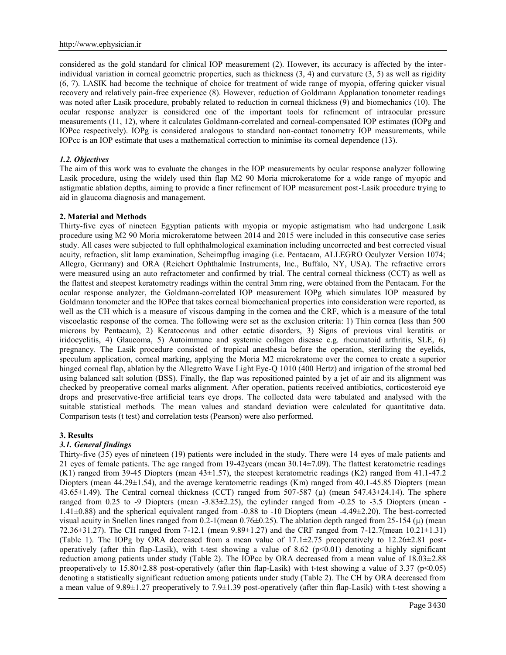considered as the gold standard for clinical IOP measurement (2). However, its accuracy is affected by the interindividual variation in corneal geometric properties, such as thickness (3, 4) and curvature (3, 5) as well as rigidity (6, 7). LASIK had become the technique of choice for treatment of wide range of myopia, offering quicker visual recovery and relatively pain-free experience (8). However, reduction of Goldmann Applanation tonometer readings was noted after Lasik procedure, probably related to reduction in corneal thickness (9) and biomechanics (10). The ocular response analyzer is considered one of the important tools for refinement of intraocular pressure measurements (11, 12), where it calculates Goldmann-correlated and corneal-compensated IOP estimates (IOPg and IOPcc respectively). IOPg is considered analogous to standard non-contact tonometry IOP measurements, while IOPcc is an IOP estimate that uses a mathematical correction to minimise its corneal dependence (13).

## *1.2. Objectives*

The aim of this work was to evaluate the changes in the IOP measurements by ocular response analyzer following Lasik procedure, using the widely used thin flap M2 90 Moria microkeratome for a wide range of myopic and astigmatic ablation depths, aiming to provide a finer refinement of IOP measurement post-Lasik procedure trying to aid in glaucoma diagnosis and management.

### **2. Material and Methods**

Thirty-five eyes of nineteen Egyptian patients with myopia or myopic astigmatism who had undergone Lasik procedure using M2 90 Moria microkeratome between 2014 and 2015 were included in this consecutive case series study. All cases were subjected to full ophthalmological examination including uncorrected and best corrected visual acuity, refraction, slit lamp examination, Scheimpflug imaging (i.e. Pentacam, ALLEGRO Oculyzer Version 1074; Allegro, Germany) and ORA (Reichert Ophthalmic Instruments, Inc., Buffalo, NY, USA). The refractive errors were measured using an auto refractometer and confirmed by trial. The central corneal thickness (CCT) as well as the flattest and steepest keratometry readings within the central 3mm ring, were obtained from the Pentacam. For the ocular response analyzer, the Goldmann-correlated IOP measurement IOPg which simulates IOP measured by Goldmann tonometer and the IOPcc that takes corneal biomechanical properties into consideration were reported, as well as the CH which is a measure of viscous damping in the cornea and the CRF, which is a measure of the total viscoelastic response of the cornea. The following were set as the exclusion criteria: 1) Thin cornea (less than 500 microns by Pentacam), 2) Keratoconus and other ectatic disorders, 3) Signs of previous viral keratitis or iridocyclitis, 4) Glaucoma, 5) Autoimmune and systemic collagen disease e.g. rheumatoid arthritis, SLE, 6) pregnancy. The Lasik procedure consisted of tropical anesthesia before the operation, sterilizing the eyelids, speculum application, corneal marking, applying the Moria M2 microkratome over the cornea to create a superior hinged corneal flap, ablation by the Allegretto Wave Light Eye-Q 1010 (400 Hertz) and irrigation of the stromal bed using balanced salt solution (BSS). Finally, the flap was repositioned painted by a jet of air and its alignment was checked by preoperative corneal marks alignment. After operation, patients received antibiotics, corticosteroid eye drops and preservative-free artificial tears eye drops. The collected data were tabulated and analysed with the suitable statistical methods. The mean values and standard deviation were calculated for quantitative data. Comparison tests (t test) and correlation tests (Pearson) were also performed.

### **3. Results**

# *3.1. General findings*

Thirty-five (35) eyes of nineteen (19) patients were included in the study. There were 14 eyes of male patients and 21 eyes of female patients. The age ranged from 19-42years (mean 30.14±7.09). The flattest keratometric readings (K1) ranged from 39-45 Diopters (mean 43±1.57), the steepest keratometric readings (K2) ranged from 41.1-47.2 Diopters (mean 44.29±1.54), and the average keratometric readings (Km) ranged from 40.1-45.85 Diopters (mean 43.65 $\pm$ 1.49). The Central corneal thickness (CCT) ranged from 507-587 ( $\mu$ ) (mean 547.43 $\pm$ 24.14). The sphere ranged from 0.25 to -9 Diopters (mean  $-3.83\pm 2.25$ ), the cylinder ranged from  $-0.25$  to  $-3.5$  Diopters (mean -1.41±0.88) and the spherical equivalent ranged from -0.88 to -10 Diopters (mean -4.49±2.20). The best-corrected visual acuity in Snellen lines ranged from  $0.2-1$  (mean  $0.76\pm0.25$ ). The ablation depth ranged from  $25-154$  ( $\mu$ ) (mean 72.36±31.27). The CH ranged from 7-12.1 (mean 9.89±1.27) and the CRF ranged from 7-12.7(mean 10.21±1.31) (Table 1). The IOPg by ORA decreased from a mean value of  $17.1\pm 2.75$  preoperatively to  $12.26\pm 2.81$  postoperatively (after thin flap-Lasik), with t-test showing a value of 8.62 ( $p<0.01$ ) denoting a highly significant reduction among patients under study (Table 2). The IOPcc by ORA decreased from a mean value of 18.03±2.88 preoperatively to  $15.80\pm2.88$  post-operatively (after thin flap-Lasik) with t-test showing a value of 3.37 (p<0.05) denoting a statistically significant reduction among patients under study (Table 2). The CH by ORA decreased from a mean value of 9.89±1.27 preoperatively to 7.9±1.39 post-operatively (after thin flap-Lasik) with t-test showing a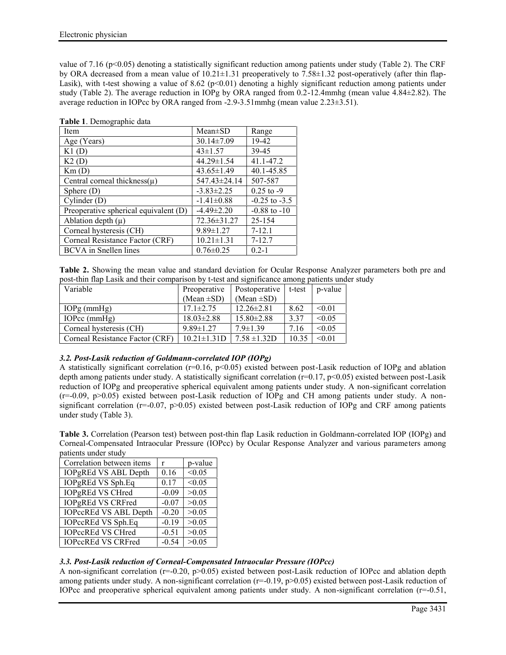value of 7.16 ( $p<0.05$ ) denoting a statistically significant reduction among patients under study (Table 2). The CRF by ORA decreased from a mean value of  $10.21 \pm 1.31$  preoperatively to 7.58 $\pm 1.32$  post-operatively (after thin flap-Lasik), with t-test showing a value of 8.62 (p<0.01) denoting a highly significant reduction among patients under study (Table 2). The average reduction in IOPg by ORA ranged from 0.2-12.4mmhg (mean value 4.84±2.82). The average reduction in IOPcc by ORA ranged from -2.9-3.51mmhg (mean value 2.23±3.51).

| Table 1. Demographic data |  |
|---------------------------|--|
|---------------------------|--|

| Item                                  | $Mean \pm SD$    | Range             |
|---------------------------------------|------------------|-------------------|
| Age (Years)                           | $30.14 \pm 7.09$ | 19-42             |
| K1(D)                                 | $43 \pm 1.57$    | 39-45             |
| K2(D)                                 | $44.29 \pm 1.54$ | 41.1-47.2         |
| Km(D)                                 | $43.65 \pm 1.49$ | 40.1-45.85        |
| Central corneal thickness $(\mu)$     | 547.43±24.14     | 507-587           |
| Sphere $(D)$                          | $-3.83 \pm 2.25$ | $0.25$ to $-9$    |
| Cylinder(D)                           | $-1.41 \pm 0.88$ | $-0.25$ to $-3.5$ |
| Preoperative spherical equivalent (D) | $-4.49 \pm 2.20$ | $-0.88$ to $-10$  |
| Ablation depth $(\mu)$                | 72.36±31.27      | 25-154            |
| Corneal hysteresis (CH)               | $9.89 \pm 1.27$  | $7 - 12.1$        |
| Corneal Resistance Factor (CRF)       | $10.21 \pm 1.31$ | $7 - 12.7$        |
| <b>BCVA</b> in Snellen lines          | $0.76 \pm 0.25$  | $0.2 - 1$         |

| Table 2. Showing the mean value and standard deviation for Ocular Response Analyzer parameters both pre and |  |  |  |  |
|-------------------------------------------------------------------------------------------------------------|--|--|--|--|
| post-thin flap Lasik and their comparison by t-test and significance among patients under study             |  |  |  |  |

| Variable                        | Preoperative       | Postoperative    | t-test | p-value |
|---------------------------------|--------------------|------------------|--------|---------|
|                                 | (Mean $\pm SD$ )   | (Mean $\pm SD$ ) |        |         |
| $IOPg$ (mmHg)                   | $17.1 \pm 2.75$    | $12.26 \pm 2.81$ | 8.62   | < 0.01  |
| IOPcc $(mmHg)$                  | $18.03 \pm 2.88$   | $15.80 \pm 2.88$ | 3.37   | < 0.05  |
| Corneal hysteresis (CH)         | $9.89 \pm 1.27$    | $7.9 \pm 1.39$   | 7.16   | < 0.05  |
| Corneal Resistance Factor (CRF) | $10.21 \pm 1.31$ D | $7.58 \pm 1.32D$ | 10.35  | < 0.01  |

# *3.2. Post-Lasik reduction of Goldmann-correlated IOP (IOPg)*

A statistically significant correlation ( $r=0.16$ ,  $p<0.05$ ) existed between post-Lasik reduction of IOPg and ablation depth among patients under study. A statistically significant correlation (r=0.17, p<0.05) existed between post-Lasik reduction of IOPg and preoperative spherical equivalent among patients under study. A non-significant correlation (r=-0.09, p>0.05) existed between post-Lasik reduction of IOPg and CH among patients under study. A non significant correlation ( $r=0.07$ ,  $p>0.05$ ) existed between post-Lasik reduction of IOPg and CRF among patients under study (Table 3).

**Table 3.** Correlation (Pearson test) between post-thin flap Lasik reduction in Goldmann-correlated IOP (IOPg) and Corneal-Compensated Intraocular Pressure (IOPcc) by Ocular Response Analyzer and various parameters among patients under study

| Correlation between items    |         | p-value |
|------------------------------|---------|---------|
| IOPgREd VS ABL Depth         | 0.16    | < 0.05  |
| IOPgREd VS Sph.Eq            | 0.17    | < 0.05  |
| <b>IOPgREd VS CHred</b>      | $-0.09$ | >0.05   |
| <b>IOPgREd VS CRFred</b>     | $-0.07$ | >0.05   |
| <b>IOPccREd VS ABL Depth</b> | $-0.20$ | >0.05   |
| IOPccREd VS Sph.Eq           | $-0.19$ | >0.05   |
| <b>IOPccREd VS CHred</b>     | $-0.51$ | >0.05   |
| <b>IOPccREd VS CRFred</b>    | $-0.54$ | >0.05   |

# *3.3. Post-Lasik reduction of Corneal-Compensated Intraocular Pressure (IOPcc)*

A non-significant correlation ( $r=-0.20$ ,  $p>0.05$ ) existed between post-Lasik reduction of IOPcc and ablation depth among patients under study. A non-significant correlation ( $r=-0.19$ ,  $p>0.05$ ) existed between post-Lasik reduction of IOPcc and preoperative spherical equivalent among patients under study. A non-significant correlation (r=-0.51,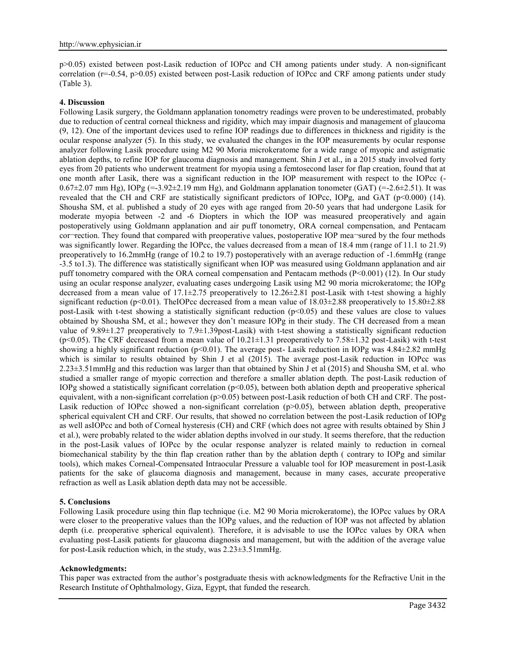p>0.05) existed between post-Lasik reduction of IOPcc and CH among patients under study. A non-significant correlation (r=-0.54, p>0.05) existed between post-Lasik reduction of IOPcc and CRF among patients under study (Table 3).

## **4. Discussion**

Following Lasik surgery, the Goldmann applanation tonometry readings were proven to be underestimated, probably due to reduction of central corneal thickness and rigidity, which may impair diagnosis and management of glaucoma (9, 12). One of the important devices used to refine IOP readings due to differences in thickness and rigidity is the ocular response analyzer (5). In this study, we evaluated the changes in the IOP measurements by ocular response analyzer following Lasik procedure using M2 90 Moria microkeratome for a wide range of myopic and astigmatic ablation depths, to refine IOP for glaucoma diagnosis and management. Shin J et al., in a 2015 study involved forty eyes from 20 patients who underwent treatment for myopia using a femtosecond laser for flap creation, found that at one month after Lasik, there was a significant reduction in the IOP measurement with respect to the IOPcc (-  $0.67\pm2.07$  mm Hg), IOPg (=-3.92 $\pm2.19$  mm Hg), and Goldmann applanation tonometer (GAT) (=-2.6 $\pm2.51$ ). It was revealed that the CH and CRF are statistically significant predictors of IOPcc, IOPg, and GAT (p<0.000) (14). Shousha SM, et al. published a study of 20 eyes with age ranged from 20-50 years that had undergone Lasik for moderate myopia between -2 and -6 Diopters in which the IOP was measured preoperatively and again postoperatively using Goldmann applanation and air puff tonometry, ORA corneal compensation, and Pentacam cor¬rection. They found that compared with preoperative values, postoperative IOP mea¬sured by the four methods was significantly lower. Regarding the IOPcc, the values decreased from a mean of 18.4 mm (range of 11.1 to 21.9) preoperatively to 16.2mmHg (range of 10.2 to 19.7) postoperatively with an average reduction of -1.6mmHg (range -3.5 to1.3). The difference was statistically significant when IOP was measured using Goldmann applanation and air puff tonometry compared with the ORA corneal compensation and Pentacam methods (P<0.001) (12). In Our study using an ocular response analyzer, evaluating cases undergoing Lasik using M2 90 moria microkeratome; the IOPg decreased from a mean value of  $17.1\pm2.75$  preoperatively to  $12.26\pm2.81$  post-Lasik with t-test showing a highly significant reduction (p<0.01). The IOPcc decreased from a mean value of  $18.03\pm2.88$  preoperatively to  $15.80\pm2.88$ post-Lasik with t-test showing a statistically significant reduction  $(p<0.05)$  and these values are close to values obtained by Shousha SM, et al.; however they don't measure IOPg in their study. The CH decreased from a mean value of 9.89±1.27 preoperatively to 7.9±1.39post-Lasik) with t-test showing a statistically significant reduction (p<0.05). The CRF decreased from a mean value of  $10.21 \pm 1.31$  preoperatively to 7.58 $\pm 1.32$  post-Lasik) with t-test showing a highly significant reduction (p<0.01). The average post- Lasik reduction in IOPg was  $4.84\pm2.82$  mmHg which is similar to results obtained by Shin J et al (2015). The average post-Lasik reduction in IOPcc was 2.23±3.51mmHg and this reduction was larger than that obtained by Shin J et al (2015) and Shousha SM, et al. who studied a smaller range of myopic correction and therefore a smaller ablation depth. The post-Lasik reduction of IOPg showed a statistically significant correlation  $(p<0.05)$ , between both ablation depth and preoperative spherical equivalent, with a non-significant correlation (p>0.05) between post-Lasik reduction of both CH and CRF. The post-Lasik reduction of IOPcc showed a non-significant correlation  $(p>0.05)$ , between ablation depth, preoperative spherical equivalent CH and CRF. Our results, that showed no correlation between the post-Lasik reduction of IOPg as well asIOPcc and both of Corneal hysteresis (CH) and CRF (which does not agree with results obtained by Shin J et al.), were probably related to the wider ablation depths involved in our study. It seems therefore, that the reduction in the post-Lasik values of IOPcc by the ocular response analyzer is related mainly to reduction in corneal biomechanical stability by the thin flap creation rather than by the ablation depth ( contrary to IOPg and similar tools), which makes Corneal-Compensated Intraocular Pressure a valuable tool for IOP measurement in post-Lasik patients for the sake of glaucoma diagnosis and management, because in many cases, accurate preoperative refraction as well as Lasik ablation depth data may not be accessible.

### **5. Conclusions**

Following Lasik procedure using thin flap technique (i.e. M2 90 Moria microkeratome), the IOPcc values by ORA were closer to the preoperative values than the IOPg values, and the reduction of IOP was not affected by ablation depth (i.e. preoperative spherical equivalent). Therefore, it is advisable to use the IOPcc values by ORA when evaluating post-Lasik patients for glaucoma diagnosis and management, but with the addition of the average value for post-Lasik reduction which, in the study, was 2.23±3.51mmHg.

## **Acknowledgments:**

This paper was extracted from the author's postgraduate thesis with acknowledgments for the Refractive Unit in the Research Institute of Ophthalmology, Giza, Egypt, that funded the research.